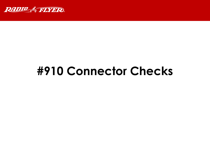

# **#910 Connector Checks**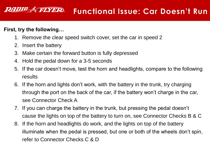#### *RADIO & FLYER* **Functional Issue: Car Doesn't Run**

#### **First, try the following…**

- 1. Remove the clear speed switch cover, set the car in speed 2
- 2. Insert the battery
- 3. Make certain the forward button is fully depressed
- 4. Hold the pedal down for a 3-5 seconds
- 5. If the car doesn't move, test the horn and headlights, compare to the following results
- 6. If the horn and lights don't work, with the battery in the trunk, try charging through the port on the back of the car, if the battery won't charge in the car, see Connector Check A
- 7. If you can charge the battery in the trunk, but pressing the pedal doesn't cause the lights on top of the battery to turn on, see Connector Checks B & C
- 8. If the horn and headlights do work, and the lights on top of the battery illuminate when the pedal is pressed, but one or both of the wheels don't spin, refer to Connector Checks C & D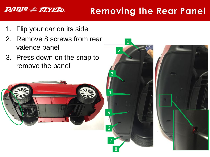## **Removing the Rear Panel**

1. Flip your car on its side

**RADIO & FLYER** 

- 2. Remove 8 screws from rear valence panel
- 3. Press down on the snap to remove the panel



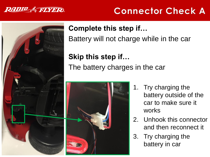

### **Connector Check A**



#### **Complete this step if…**

Battery will not charge while in the car

## **Skip this step if…** The battery charges in the car



- 1. Try charging the battery outside of the car to make sure it works
- 2. Unhook this connector and then reconnect it
- 3. Try charging the battery in car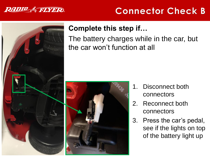

### **Connector Check B**



### **Complete this step if…**

The battery charges while in the car, but the car won't function at all



- 1. Disconnect both connectors
- 2. Reconnect both connectors
- 3. Press the car's pedal, see if the lights on top of the battery light up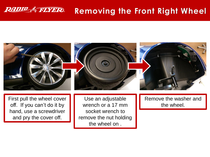#### **RADIO & FLYER Removing the Front Right Wheel**



First pull the wheel cover off. If you can't do it by hand, use a screwdriver and pry the cover off.

Use an adjustable wrench or a 17 mm socket wrench to remove the nut holding the wheel on .

Remove the washer and the wheel.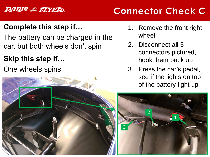#### **RADIO & FLYER**

## **Connector Check C**

### **Complete this step if…**

The battery can be charged in the car, but both wheels don't spin

### **Skip this step if…**

One wheels spins



- 1. Remove the front right wheel
- 2. Disconnect all 3 connectors pictured, hook them back up
- 3. Press the car's pedal, see if the lights on top of the battery light up